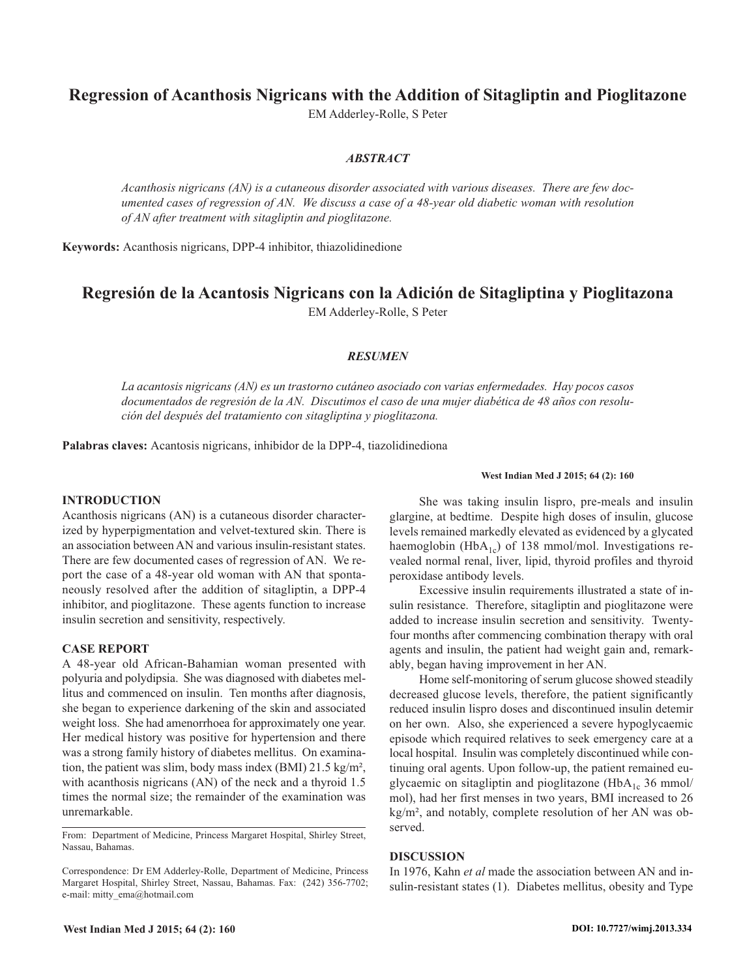# **Regression of Acanthosis Nigricans with the Addition of Sitagliptin and Pioglitazone**

EM Adderley-Rolle, S Peter

# *ABSTRACT*

*Acanthosis nigricans (AN) is a cutaneous disorder associated with various diseases. There are few documented cases of regression of AN. We discuss a case of a 48-year old diabetic woman with resolution of AN after treatment with sitagliptin and pioglitazone.*

**Keywords:** Acanthosis nigricans, DPP-4 inhibitor, thiazolidinedione

# **Regresión de la Acantosis Nigricans con la Adición de Sitagliptina y Pioglitazona** EM Adderley-Rolle, S Peter

### *RESUMEN*

*La acantosis nigricans (AN) es un trastorno cutáneo asociado con varias enfermedades. Hay pocos casos documentados de regresión de la AN. Discutimos el caso de una mujer diabética de 48 años con resolución del después del tratamiento con sitagliptina y pioglitazona.*

**Palabras claves:** Acantosis nigricans, inhibidor de la DPP-4, tiazolidinediona

#### **INTRODUCTION**

Acanthosis nigricans (AN) is a cutaneous disorder characterized by hyperpigmentation and velvet-textured skin. There is an association between AN and various insulin-resistant states. There are few documented cases of regression of AN. We report the case of a 48-year old woman with AN that spontaneously resolved after the addition of sitagliptin, a DPP-4 inhibitor, and pioglitazone. These agents function to increase insulin secretion and sensitivity, respectively.

### **CASE REPORT**

A 48-year old African-Bahamian woman presented with polyuria and polydipsia. She was diagnosed with diabetes mellitus and commenced on insulin. Ten months after diagnosis, she began to experience darkening of the skin and associated weight loss. She had amenorrhoea for approximately one year. Her medical history was positive for hypertension and there was a strong family history of diabetes mellitus. On examination, the patient was slim, body mass index (BMI) 21.5 kg/m², with acanthosis nigricans (AN) of the neck and a thyroid 1.5 times the normal size; the remainder of the examination was unremarkable.

From: Department of Medicine, Princess Margaret Hospital, Shirley Street, Nassau, Bahamas.

Correspondence: Dr EM Adderley-Rolle, Department of Medicine, Princess Margaret Hospital, Shirley Street, Nassau, Bahamas. Fax: (242) 356-7702; e-mail: mitty\_ema@hotmail.com

#### **West Indian Med J 2015; 64 (2): 160**

She was taking insulin lispro, pre-meals and insulin glargine, at bedtime. Despite high doses of insulin, glucose levels remained markedly elevated as evidenced by a glycated haemoglobin (HbA<sub>1c</sub>) of 138 mmol/mol. Investigations revealed normal renal, liver, lipid, thyroid profiles and thyroid peroxidase antibody levels.

Excessive insulin requirements illustrated a state of insulin resistance. Therefore, sitagliptin and pioglitazone were added to increase insulin secretion and sensitivity. Twentyfour months after commencing combination therapy with oral agents and insulin, the patient had weight gain and, remarkably, began having improvement in her AN.

Home self-monitoring of serum glucose showed steadily decreased glucose levels, therefore, the patient significantly reduced insulin lispro doses and discontinued insulin detemir on her own. Also, she experienced a severe hypoglycaemic episode which required relatives to seek emergency care at a local hospital. Insulin was completely discontinued while continuing oral agents. Upon follow-up, the patient remained euglycaemic on sitagliptin and pioglitazone (Hb $A_{1c}$  36 mmol/ mol), had her first menses in two years, BMI increased to 26 kg/m², and notably, complete resolution of her AN was observed.

#### **DISCUSSION**

In 1976, Kahn *et al* made the association between AN and insulin-resistant states (1). Diabetes mellitus, obesity and Type